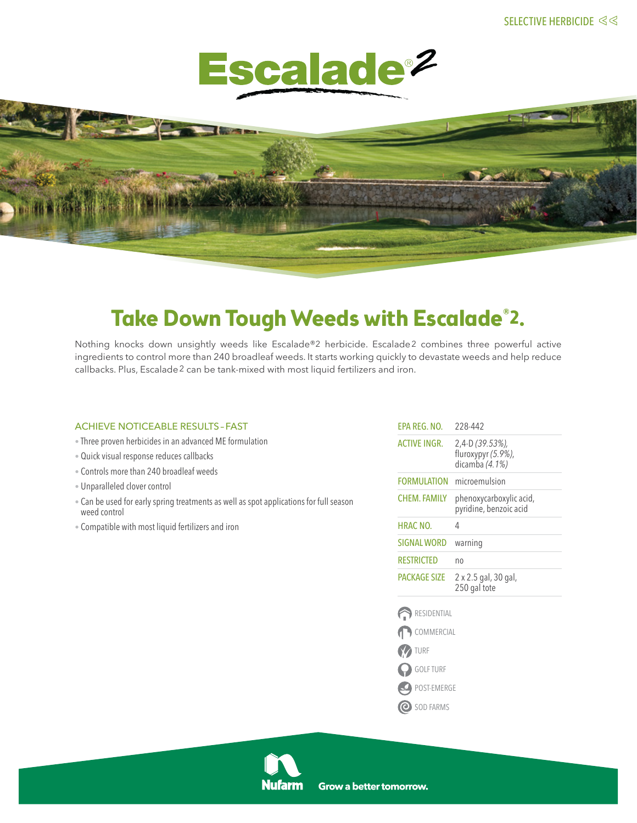



# **Take Down Tough Weeds with Escalade®2.**

Nothing knocks down unsightly weeds like Escalade®2 herbicide. Escalade2 combines three powerful active ingredients to control more than 240 broadleaf weeds. It starts working quickly to devastate weeds and help reduce callbacks. Plus, Escalade2 can be tank-mixed with most liquid fertilizers and iron.

# achieve noticeable results–Fast

- Three proven herbicides in an advanced ME formulation
- Quick visual response reduces callbacks
- Controls more than 240 broadleaf weeds
- Unparalleled clover control
- Can be used for early spring treatments as well as spot applications for full season weed control
- Compatible with most liquid fertilizers and iron

| EPA REG. NO.        | 228-442                                                 |
|---------------------|---------------------------------------------------------|
| ACTIVE INGR.        | 2,4-D (39.53%),<br>fluroxypyr (5.9%),<br>dicamba (4.1%) |
| FORMULATION         | microemulsion                                           |
| CHEM. FAMILY        | phenoxycarboxylic acid,<br>pyridine, benzoic acid       |
| HRAC NO.            | 4                                                       |
| <b>SIGNAL WORD</b>  | warning                                                 |
| RESTRICTED          | no                                                      |
| <b>PACKAGE SIZE</b> | 2 x 2.5 gal, 30 gal,<br>250 gal tote                    |





- GOLF TURF
- POST-EMERGE
- O SOD FARMS